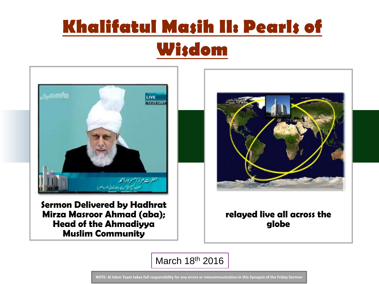

Sermon Delivered by Hadhrat Mirza Masroor Ahmad (aba); Head of the Ahmadiyya Muslim Community



#### relayed live all across the globe

March 18th 2016

**NOTE: Al Islam Team takes full responsibility for any errors or miscommunication in this Synopsis of the Friday Sermon**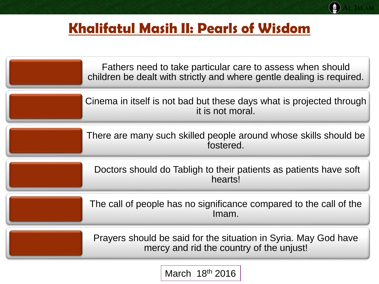AL ISLAM

|                                                                             | Fathers need to take particular care to assess when should<br>children be dealt with strictly and where gentle dealing is required. |
|-----------------------------------------------------------------------------|-------------------------------------------------------------------------------------------------------------------------------------|
|                                                                             | Cinema in itself is not bad but these days what is projected through<br>it is not moral.                                            |
|                                                                             | There are many such skilled people around whose skills should be<br>fostered.                                                       |
|                                                                             | Doctors should do Tabligh to their patients as patients have soft<br>hearts!                                                        |
| The call of people has no significance compared to the call of the<br>Imam. |                                                                                                                                     |
|                                                                             | Prayers should be said for the situation in Syria. May God have<br>mercy and rid the country of the unjust!                         |
|                                                                             |                                                                                                                                     |

March 18th 2016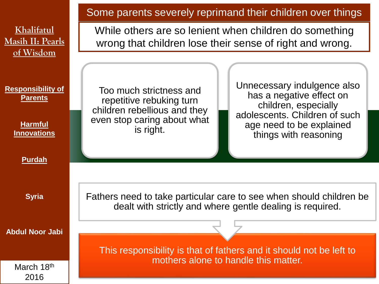|                                                                                    | Some parents severely reprimand their children over things<br>While others are so lenient when children do something<br>wrong that children lose their sense of right and wrong.                                                                                                                         |  |  |
|------------------------------------------------------------------------------------|----------------------------------------------------------------------------------------------------------------------------------------------------------------------------------------------------------------------------------------------------------------------------------------------------------|--|--|
| Khalifatul<br><b>Masih II: Pearls</b><br>of Wisdom                                 |                                                                                                                                                                                                                                                                                                          |  |  |
| <b>Responsibility of</b><br><b>Parents</b><br><b>Harmful</b><br><b>Innovations</b> | Unnecessary indulgence also<br>Too much strictness and<br>has a negative effect on<br>repetitive rebuking turn<br>children, especially<br>children rebellious and they<br>adolescents. Children of such<br>even stop caring about what<br>age need to be explained<br>is right.<br>things with reasoning |  |  |
| <b>Purdah</b>                                                                      |                                                                                                                                                                                                                                                                                                          |  |  |
| <b>Syria</b>                                                                       | Fathers need to take particular care to see when should children be<br>dealt with strictly and where gentle dealing is required.                                                                                                                                                                         |  |  |
| <b>Abdul Noor Jabi</b>                                                             |                                                                                                                                                                                                                                                                                                          |  |  |
|                                                                                    | This responsibility is that of fathers and it should not be left to<br>mothers alone to handle this matter.                                                                                                                                                                                              |  |  |
| March 18th<br>2016                                                                 |                                                                                                                                                                                                                                                                                                          |  |  |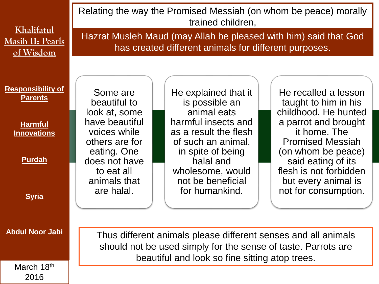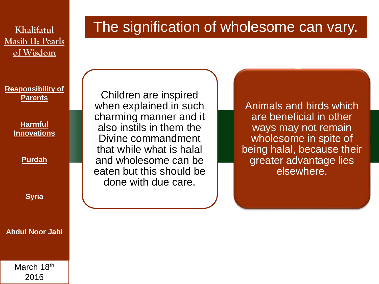**Masih II: Pearls of Wisdom**

#### **Responsibility of Parents**

**Harmful Innovations**

**Purdah**

**Syria**

**Abdul Noor Jabi**

Children are inspired when explained in such charming manner and it also instils in them the Divine commandment that while what is halal and wholesome can be eaten but this should be done with due care.

Animals and birds which are beneficial in other ways may not remain wholesome in spite of being halal, because their greater advantage lies elsewhere.

# **Khalifatul** The signification of wholesome can vary.

March 18th 2016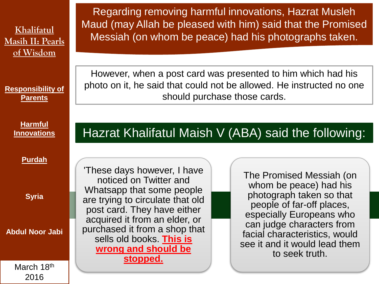**Responsibility of Parents**

> **Harmful Innovations**

> > **Purdah**

**Syria**

**Abdul Noor Jabi**

March 18th 2016

Regarding removing harmful innovations, Hazrat Musleh Maud (may Allah be pleased with him) said that the Promised Messiah (on whom be peace) had his photographs taken.

However, when a post card was presented to him which had his photo on it, he said that could not be allowed. He instructed no one should purchase those cards.

### Hazrat Khalifatul Maish V (ABA) said the following:

'These days however, I have noticed on Twitter and Whatsapp that some people are trying to circulate that old post card. They have either acquired it from an elder, or purchased it from a shop that sells old books. **This is wrong and should be stopped.** 

The Promised Messiah (on whom be peace) had his photograph taken so that people of far-off places, especially Europeans who can judge characters from facial characteristics, would see it and it would lead them to seek truth.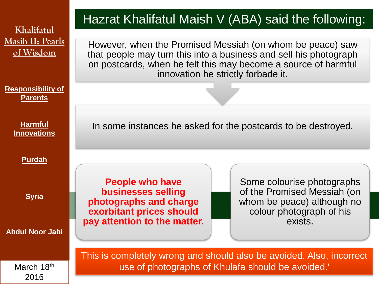**Responsibility of Parents**

> **Harmful Innovations**

> > **Purdah**

**Syria**

**Abdul Noor Jabi**

March 18th 2016

## Hazrat Khalifatul Maish V (ABA) said the following:

However, when the Promised Messiah (on whom be peace) saw that people may turn this into a business and sell his photograph on postcards, when he felt this may become a source of harmful innovation he strictly forbade it.

In some instances he asked for the postcards to be destroyed.

**People who have businesses selling photographs and charge exorbitant prices should pay attention to the matter.**

Some colourise photographs of the Promised Messiah (on whom be peace) although no colour photograph of his exists.

This is completely wrong and should also be avoided. Also, incorrect use of photographs of Khulafa should be avoided.'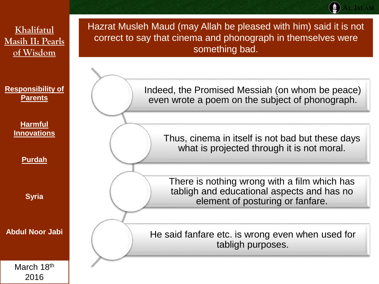Indeed, the Promised Messiah (on whom be peace) even wrote a poem on the subject of phonograph. Thus, cinema in itself is not bad but these days what is projected through it is not moral. There is nothing wrong with a film which has tabligh and educational aspects and has no element of posturing or fanfare. He said fanfare etc. is wrong even when used for tabligh purposes. Hazrat Musleh Maud (may Allah be pleased with him) said it is not correct to say that cinema and phonograph in themselves were something bad. **Khalifatul Masih II: Pearls of Wisdom Responsibility of Parents Harmful Innovations Purdah Syria Abdul Noor Jabi**

March 18th 2016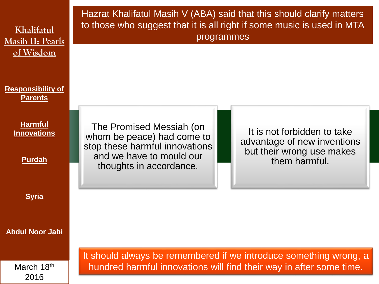| Khalifatul<br><b>Masih II: Pearls</b><br>of Wisdom    | Hazrat Khalifatul Masih V (ABA) said that this should clarify matters<br>to those who suggest that it is all right if some music is used in MTA<br>programmes |                                                                                                                                          |
|-------------------------------------------------------|---------------------------------------------------------------------------------------------------------------------------------------------------------------|------------------------------------------------------------------------------------------------------------------------------------------|
| <b>Responsibility of</b><br><b>Parents</b>            |                                                                                                                                                               |                                                                                                                                          |
| <b>Harmful</b><br><b>Innovations</b><br><b>Purdah</b> | The Promised Messiah (on<br>whom be peace) had come to<br>stop these harmful innovations<br>and we have to mould our<br>thoughts in accordance.               | It is not forbidden to take<br>advantage of new inventions<br>but their wrong use makes<br>them harmful.                                 |
| <b>Syria</b>                                          |                                                                                                                                                               |                                                                                                                                          |
| <b>Abdul Noor Jabi</b>                                |                                                                                                                                                               |                                                                                                                                          |
| March 18th<br>2016                                    |                                                                                                                                                               | It should always be remembered if we introduce something wrong, a<br>hundred harmful innovations will find their way in after some time. |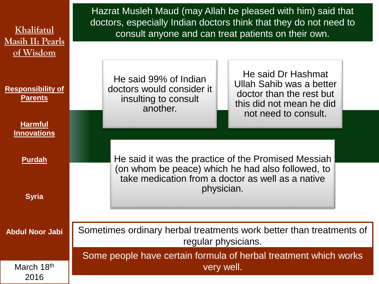| Khalifatul<br><b>Masih II: Pearls</b><br>of Wisdom           | Hazrat Musleh Maud (may Allah be pleased with him) said that<br>doctors, especially Indian doctors think that they do not need to<br>consult anyone and can treat patients on their own.                                 |  |  |
|--------------------------------------------------------------|--------------------------------------------------------------------------------------------------------------------------------------------------------------------------------------------------------------------------|--|--|
| <b>Responsibility of</b><br><b>Parents</b><br><b>Harmful</b> | He said Dr Hashmat<br>He said 99% of Indian<br>Ullah Sahib was a better<br>doctors would consider it<br>doctor than the rest but<br>insulting to consult<br>this did not mean he did<br>another.<br>not need to consult. |  |  |
| <b>Innovations</b>                                           |                                                                                                                                                                                                                          |  |  |
| <b>Purdah</b>                                                | He said it was the practice of the Promised Messiah<br>(on whom be peace) which he had also followed, to                                                                                                                 |  |  |
| <b>Syria</b>                                                 | take medication from a doctor as well as a native<br>physician.                                                                                                                                                          |  |  |
| <b>Abdul Noor Jabi</b>                                       | Sometimes ordinary herbal treatments work better than treatments of<br>regular physicians.                                                                                                                               |  |  |
|                                                              | Some people have certain formula of herbal treatment which works                                                                                                                                                         |  |  |
| March 18th<br>2016                                           | very well.                                                                                                                                                                                                               |  |  |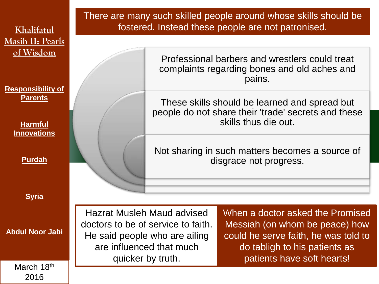**Responsibility of Parents**

> **Harmful Innovations**

> > **Purdah**

**Syria**

**Abdul Noor Jabi**

March 18th 2016

There are many such skilled people around whose skills should be fostered. Instead these people are not patronised.

> Professional barbers and wrestlers could treat complaints regarding bones and old aches and pains.

These skills should be learned and spread but people do not share their 'trade' secrets and these skills thus die out.

Not sharing in such matters becomes a source of disgrace not progress.

Hazrat Musleh Maud advised doctors to be of service to faith. He said people who are ailing are influenced that much quicker by truth.

When a doctor asked the Promised Messiah (on whom be peace) how could he serve faith, he was told to do tabligh to his patients as patients have soft hearts!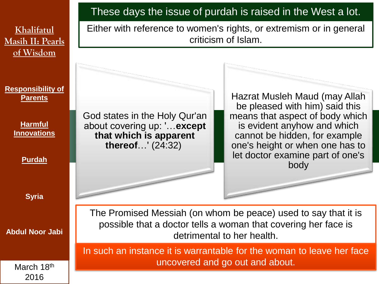God states in the Holy Qur'an about covering up: '…**except that which is apparent thereof**…' (24:32) Hazrat Musleh Maud (may Allah be pleased with him) said this means that aspect of body which is evident anyhow and which cannot be hidden, for example one's height or when one has to let doctor examine part of one's body These days the issue of purdah is raised in the West a lot. In such an instance it is warrantable for the woman to leave her face uncovered and go out and about. The Promised Messiah (on whom be peace) used to say that it is possible that a doctor tells a woman that covering her face is detrimental to her health. Either with reference to women's rights, or extremism or in general criticism of Islam. **Khalifatul Masih II: Pearls of Wisdom Responsibility of Parents Harmful Innovations Purdah Syria Abdul Noor Jabi** March 18th

2016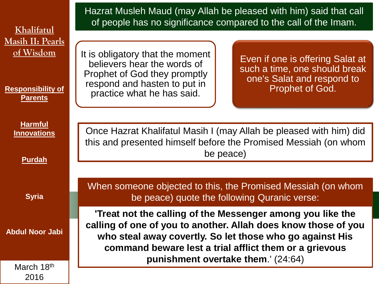| Khalifatul                                                                         | Hazrat Musleh Maud (may Allah be pleased with him) said that call<br>of people has no significance compared to the call of the Imam.                                                                                                                                                     |                                                                                                                    |  |
|------------------------------------------------------------------------------------|------------------------------------------------------------------------------------------------------------------------------------------------------------------------------------------------------------------------------------------------------------------------------------------|--------------------------------------------------------------------------------------------------------------------|--|
| <b>Masih II: Pearls</b><br>of Wisdom<br><b>Responsibility of</b><br><b>Parents</b> | It is obligatory that the moment<br>believers hear the words of<br>Prophet of God they promptly<br>respond and hasten to put in<br>practice what he has said.                                                                                                                            | Even if one is offering Salat at<br>such a time, one should break<br>one's Salat and respond to<br>Prophet of God. |  |
| <b>Harmful</b><br><b>Innovations</b><br><b>Purdah</b>                              | Once Hazrat Khalifatul Masih I (may Allah be pleased with him) did<br>this and presented himself before the Promised Messiah (on whom<br>be peace)                                                                                                                                       |                                                                                                                    |  |
| <b>Syria</b>                                                                       | When someone objected to this, the Promised Messiah (on whom<br>be peace) quote the following Quranic verse:                                                                                                                                                                             |                                                                                                                    |  |
| <b>Abdul Noor Jabi</b><br>March 18th                                               | 'Treat not the calling of the Messenger among you like the<br>calling of one of you to another. Allah does know those of you<br>who steal away covertly. So let those who go against His<br>command beware lest a trial afflict them or a grievous<br>punishment overtake them.' (24:64) |                                                                                                                    |  |
| 2016                                                                               |                                                                                                                                                                                                                                                                                          |                                                                                                                    |  |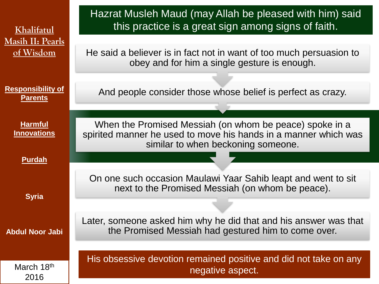| Khalifatul                                 | Hazrat Musleh Maud (may Allah be pleased with him) said<br>this practice is a great sign among signs of faith.                                                   |
|--------------------------------------------|------------------------------------------------------------------------------------------------------------------------------------------------------------------|
| <b>Masih II: Pearls</b>                    |                                                                                                                                                                  |
| of Wisdom                                  | He said a believer is in fact not in want of too much persuasion to<br>obey and for him a single gesture is enough.                                              |
|                                            |                                                                                                                                                                  |
| <b>Responsibility of</b><br><b>Parents</b> | And people consider those whose belief is perfect as crazy.                                                                                                      |
|                                            |                                                                                                                                                                  |
| <b>Harmful</b><br><b>Innovations</b>       | When the Promised Messiah (on whom be peace) spoke in a<br>spirited manner he used to move his hands in a manner which was<br>similar to when beckoning someone. |
| <b>Purdah</b>                              |                                                                                                                                                                  |
|                                            |                                                                                                                                                                  |
| <b>Syria</b>                               | On one such occasion Maulawi Yaar Sahib leapt and went to sit<br>next to the Promised Messiah (on whom be peace).                                                |
|                                            |                                                                                                                                                                  |
| <b>Abdul Noor Jabi</b>                     | Later, someone asked him why he did that and his answer was that<br>the Promised Messiah had gestured him to come over.                                          |
|                                            |                                                                                                                                                                  |
| March 18th<br>2016                         | His obsessive devotion remained positive and did not take on any<br>negative aspect.                                                                             |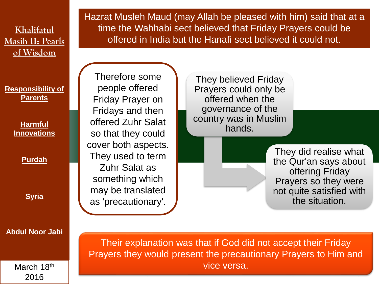**Responsibility of Parents**

> **Harmful Innovations**

> > **Purdah**

**Syria**

**Abdul Noor Jabi**

March 18th 2016

Hazrat Musleh Maud (may Allah be pleased with him) said that at a time the Wahhabi sect believed that Friday Prayers could be offered in India but the Hanafi sect believed it could not.

Therefore some people offered Friday Prayer on Fridays and then offered Zuhr Salat so that they could cover both aspects. They used to term Zuhr Salat as something which may be translated as 'precautionary'.

They believed Friday Prayers could only be offered when the governance of the country was in Muslim hands.

> They did realise what the Qur'an says about offering Friday Prayers so they were not quite satisfied with the situation.

Their explanation was that if God did not accept their Friday Prayers they would present the precautionary Prayers to Him and vice versa.